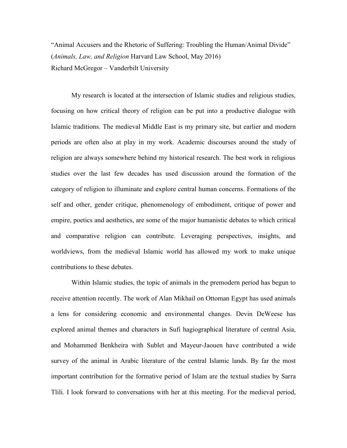"Animal Accusers and the Rhetoric of Suffering: Troubling the Human/Animal Divide" (*Animals, Law, and Religion* Harvard Law School, May 2016) Richard McGregor – Vanderbilt University

My research is located at the intersection of Islamic studies and religious studies, focusing on how critical theory of religion can be put into a productive dialogue with Islamic traditions. The medieval Middle East is my primary site, but earlier and modern periods are often also at play in my work. Academic discourses around the study of religion are always somewhere behind my historical research. The best work in religious studies over the last few decades has used discussion around the formation of the category of religion to illuminate and explore central human concerns. Formations of the self and other, gender critique, phenomenology of embodiment, critique of power and empire, poetics and aesthetics, are some of the major humanistic debates to which critical and comparative religion can contribute. Leveraging perspectives, insights, and worldviews, from the medieval Islamic world has allowed my work to make unique contributions to these debates.

Within Islamic studies, the topic of animals in the premodern period has begun to receive attention recently. The work of Alan Mikhail on Ottoman Egypt has used animals a lens for considering economic and environmental changes. Devin DeWeese has explored animal themes and characters in Sufi hagiographical literature of central Asia, and Mohammed Benkheira with Sublet and Mayeur-Jaouen have contributed a wide survey of the animal in Arabic literature of the central Islamic lands. By far the most important contribution for the formative period of Islam are the textual studies by Sarra Tlili. I look forward to conversations with her at this meeting. For the medieval period,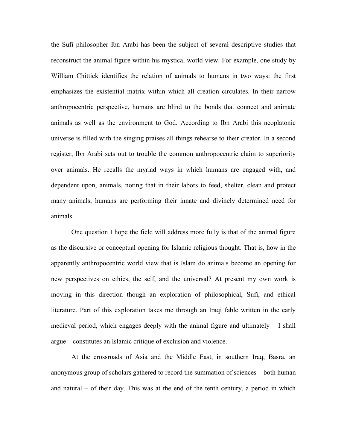the Sufi philosopher Ibn Arabi has been the subject of several descriptive studies that reconstruct the animal figure within his mystical world view. For example, one study by William Chittick identifies the relation of animals to humans in two ways: the first emphasizes the existential matrix within which all creation circulates. In their narrow anthropocentric perspective, humans are blind to the bonds that connect and animate animals as well as the environment to God. According to Ibn Arabi this neoplatonic universe is filled with the singing praises all things rehearse to their creator. In a second register, Ibn Arabi sets out to trouble the common anthropocentric claim to superiority over animals. He recalls the myriad ways in which humans are engaged with, and dependent upon, animals, noting that in their labors to feed, shelter, clean and protect many animals, humans are performing their innate and divinely determined need for animals.

One question I hope the field will address more fully is that of the animal figure as the discursive or conceptual opening for Islamic religious thought. That is, how in the apparently anthropocentric world view that is Islam do animals become an opening for new perspectives on ethics, the self, and the universal? At present my own work is moving in this direction though an exploration of philosophical, Sufi, and ethical literature. Part of this exploration takes me through an Iraqi fable written in the early medieval period, which engages deeply with the animal figure and ultimately  $-1$  shall argue – constitutes an Islamic critique of exclusion and violence.

At the crossroads of Asia and the Middle East, in southern Iraq, Basra, an anonymous group of scholars gathered to record the summation of sciences – both human and natural – of their day. This was at the end of the tenth century, a period in which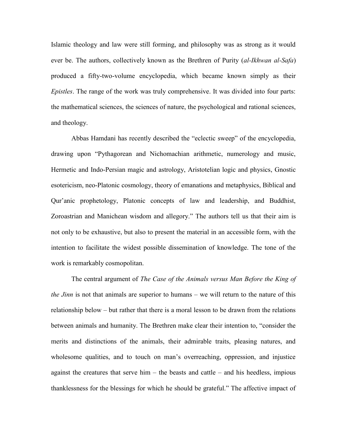Islamic theology and law were still forming, and philosophy was as strong as it would ever be. The authors, collectively known as the Brethren of Purity (*al-Ikhwan al-Safa*) produced a fifty-two-volume encyclopedia, which became known simply as their *Epistles*. The range of the work was truly comprehensive. It was divided into four parts: the mathematical sciences, the sciences of nature, the psychological and rational sciences, and theology.

Abbas Hamdani has recently described the "eclectic sweep" of the encyclopedia, drawing upon "Pythagorean and Nichomachian arithmetic, numerology and music, Hermetic and Indo-Persian magic and astrology, Aristotelian logic and physics, Gnostic esotericism, neo-Platonic cosmology, theory of emanations and metaphysics, Biblical and Qur'anic prophetology, Platonic concepts of law and leadership, and Buddhist, Zoroastrian and Manichean wisdom and allegory." The authors tell us that their aim is not only to be exhaustive, but also to present the material in an accessible form, with the intention to facilitate the widest possible dissemination of knowledge. The tone of the work is remarkably cosmopolitan.

The central argument of *The Case of the Animals versus Man Before the King of the Jinn* is not that animals are superior to humans – we will return to the nature of this relationship below – but rather that there is a moral lesson to be drawn from the relations between animals and humanity. The Brethren make clear their intention to, "consider the merits and distinctions of the animals, their admirable traits, pleasing natures, and wholesome qualities, and to touch on man's overreaching, oppression, and injustice against the creatures that serve him  $-$  the beasts and cattle  $-$  and his heedless, impious thanklessness for the blessings for which he should be grateful." The affective impact of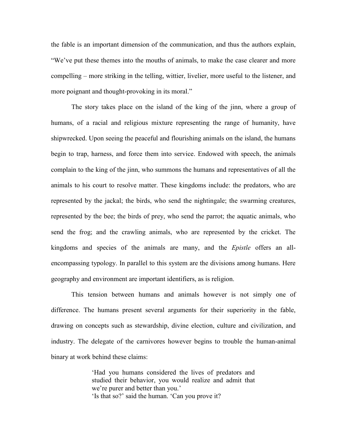the fable is an important dimension of the communication, and thus the authors explain, "We've put these themes into the mouths of animals, to make the case clearer and more compelling – more striking in the telling, wittier, livelier, more useful to the listener, and more poignant and thought-provoking in its moral."

The story takes place on the island of the king of the jinn, where a group of humans, of a racial and religious mixture representing the range of humanity, have shipwrecked. Upon seeing the peaceful and flourishing animals on the island, the humans begin to trap, harness, and force them into service. Endowed with speech, the animals complain to the king of the jinn, who summons the humans and representatives of all the animals to his court to resolve matter. These kingdoms include: the predators, who are represented by the jackal; the birds, who send the nightingale; the swarming creatures, represented by the bee; the birds of prey, who send the parrot; the aquatic animals, who send the frog; and the crawling animals, who are represented by the cricket. The kingdoms and species of the animals are many, and the *Epistle* offers an allencompassing typology. In parallel to this system are the divisions among humans. Here geography and environment are important identifiers, as is religion.

This tension between humans and animals however is not simply one of difference. The humans present several arguments for their superiority in the fable, drawing on concepts such as stewardship, divine election, culture and civilization, and industry. The delegate of the carnivores however begins to trouble the human-animal binary at work behind these claims:

> 'Had you humans considered the lives of predators and studied their behavior, you would realize and admit that we're purer and better than you.' 'Is that so?' said the human. 'Can you prove it?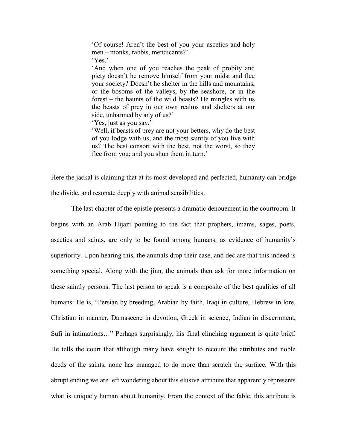'Of course! Aren't the best of you your ascetics and holy men – monks, rabbis, mendicants?' 'Yes.'

'And when one of you reaches the peak of probity and piety doesn't he remove himself from your midst and flee your society? Doesn't he shelter in the hills and mountains, or the bosoms of the valleys, by the seashore, or in the forest – the haunts of the wild beasts? He mingles with us the beasts of prey in our own realms and shelters at our side, unharmed by any of us?'

'Yes, just as you say.'

'Well, if beasts of prey are not your betters, why do the best of you lodge with us, and the most saintly of you live with us? The best consort with the best, not the worst, so they flee from you; and you shun them in turn.'

Here the jackal is claiming that at its most developed and perfected, humanity can bridge the divide, and resonate deeply with animal sensibilities.

The last chapter of the epistle presents a dramatic denouement in the courtroom. It begins with an Arab Hijazi pointing to the fact that prophets, imams, sages, poets, ascetics and saints, are only to be found among humans, as evidence of humanity's superiority. Upon hearing this, the animals drop their case, and declare that this indeed is something special. Along with the jinn, the animals then ask for more information on these saintly persons. The last person to speak is a composite of the best qualities of all humans: He is, "Persian by breeding, Arabian by faith, Iraqi in culture, Hebrew in lore, Christian in manner, Damascene in devotion, Greek in science, Indian in discernment, Sufi in intimations…" Perhaps surprisingly, his final clinching argument is quite brief. He tells the court that although many have sought to recount the attributes and noble deeds of the saints, none has managed to do more than scratch the surface. With this abrupt ending we are left wondering about this elusive attribute that apparently represents what is uniquely human about humanity. From the context of the fable, this attribute is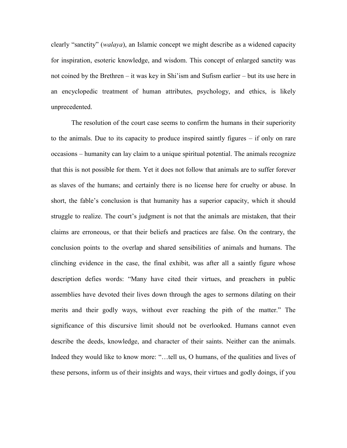clearly "sanctity" (*walaya*), an Islamic concept we might describe as a widened capacity for inspiration, esoteric knowledge, and wisdom. This concept of enlarged sanctity was not coined by the Brethren – it was key in Shi'ism and Sufism earlier – but its use here in an encyclopedic treatment of human attributes, psychology, and ethics, is likely unprecedented.

The resolution of the court case seems to confirm the humans in their superiority to the animals. Due to its capacity to produce inspired saintly figures – if only on rare occasions – humanity can lay claim to a unique spiritual potential. The animals recognize that this is not possible for them. Yet it does not follow that animals are to suffer forever as slaves of the humans; and certainly there is no license here for cruelty or abuse. In short, the fable's conclusion is that humanity has a superior capacity, which it should struggle to realize. The court's judgment is not that the animals are mistaken, that their claims are erroneous, or that their beliefs and practices are false. On the contrary, the conclusion points to the overlap and shared sensibilities of animals and humans. The clinching evidence in the case, the final exhibit, was after all a saintly figure whose description defies words: "Many have cited their virtues, and preachers in public assemblies have devoted their lives down through the ages to sermons dilating on their merits and their godly ways, without ever reaching the pith of the matter." The significance of this discursive limit should not be overlooked. Humans cannot even describe the deeds, knowledge, and character of their saints. Neither can the animals. Indeed they would like to know more: "...tell us, O humans, of the qualities and lives of these persons, inform us of their insights and ways, their virtues and godly doings, if you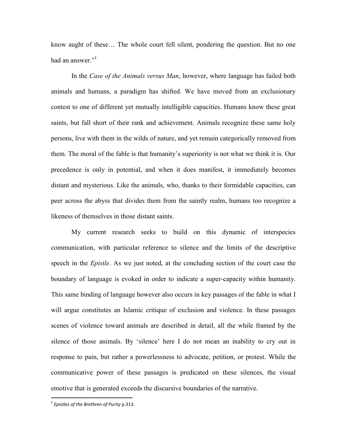know aught of these… The whole court fell silent, pondering the question. But no one had an answer."<sup>1</sup>

In the *Case of the Animals versus Man*, however, where language has failed both animals and humans, a paradigm has shifted. We have moved from an exclusionary contest to one of different yet mutually intelligible capacities. Humans know these great saints, but fall short of their rank and achievement. Animals recognize these same holy persons, live with them in the wilds of nature, and yet remain categorically removed from them. The moral of the fable is that humanity's superiority is not what we think it is. Our precedence is only in potential, and when it does manifest, it immediately becomes distant and mysterious. Like the animals, who, thanks to their formidable capacities, can peer across the abyss that divides them from the saintly realm, humans too recognize a likeness of themselves in those distant saints.

My current research seeks to build on this dynamic of interspecies communication, with particular reference to silence and the limits of the descriptive speech in the *Epistle*. As we just noted, at the concluding section of the court case the boundary of language is evoked in order to indicate a super-capacity within humanity. This same binding of language however also occurs in key passages of the fable in what I will argue constitutes an Islamic critique of exclusion and violence. In these passages scenes of violence toward animals are described in detail, all the while framed by the silence of those animals. By 'silence' here I do not mean an inability to cry out in response to pain, but rather a powerlessness to advocate, petition, or protest. While the communicative power of these passages is predicated on these silences, the visual emotive that is generated exceeds the discursive boundaries of the narrative.

 $\overline{a}$ 

<sup>1</sup> *Epistles of the Brethren of Purity* p.313.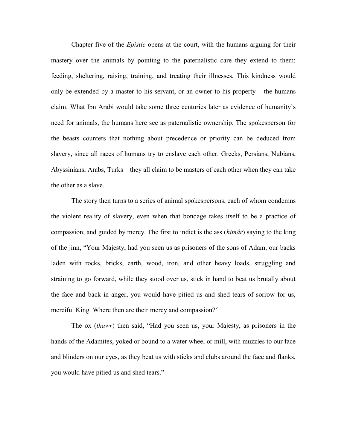Chapter five of the *Epistle* opens at the court, with the humans arguing for their mastery over the animals by pointing to the paternalistic care they extend to them: feeding, sheltering, raising, training, and treating their illnesses. This kindness would only be extended by a master to his servant, or an owner to his property – the humans claim. What Ibn Arabi would take some three centuries later as evidence of humanity's need for animals, the humans here see as paternalistic ownership. The spokesperson for the beasts counters that nothing about precedence or priority can be deduced from slavery, since all races of humans try to enslave each other. Greeks, Persians, Nubians, Abyssinians, Arabs, Turks – they all claim to be masters of each other when they can take the other as a slave.

The story then turns to a series of animal spokespersons, each of whom condemns the violent reality of slavery, even when that bondage takes itself to be a practice of compassion, and guided by mercy. The first to indict is the ass (*himâr*) saying to the king of the jinn, "Your Majesty, had you seen us as prisoners of the sons of Adam, our backs laden with rocks, bricks, earth, wood, iron, and other heavy loads, struggling and straining to go forward, while they stood over us, stick in hand to beat us brutally about the face and back in anger, you would have pitied us and shed tears of sorrow for us, merciful King. Where then are their mercy and compassion?"

The ox (*thawr*) then said, "Had you seen us, your Majesty, as prisoners in the hands of the Adamites, yoked or bound to a water wheel or mill, with muzzles to our face and blinders on our eyes, as they beat us with sticks and clubs around the face and flanks, you would have pitied us and shed tears."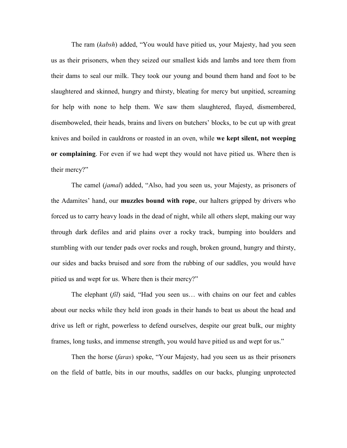The ram (*kabsh*) added, "You would have pitied us, your Majesty, had you seen us as their prisoners, when they seized our smallest kids and lambs and tore them from their dams to seal our milk. They took our young and bound them hand and foot to be slaughtered and skinned, hungry and thirsty, bleating for mercy but unpitied, screaming for help with none to help them. We saw them slaughtered, flayed, dismembered, disemboweled, their heads, brains and livers on butchers' blocks, to be cut up with great knives and boiled in cauldrons or roasted in an oven, while **we kept silent, not weeping or complaining**. For even if we had wept they would not have pitied us. Where then is their mercy?"

The camel (*jamal*) added, "Also, had you seen us, your Majesty, as prisoners of the Adamites' hand, our **muzzles bound with rope**, our halters gripped by drivers who forced us to carry heavy loads in the dead of night, while all others slept, making our way through dark defiles and arid plains over a rocky track, bumping into boulders and stumbling with our tender pads over rocks and rough, broken ground, hungry and thirsty, our sides and backs bruised and sore from the rubbing of our saddles, you would have pitied us and wept for us. Where then is their mercy?"

The elephant (*fîl*) said, "Had you seen us… with chains on our feet and cables about our necks while they held iron goads in their hands to beat us about the head and drive us left or right, powerless to defend ourselves, despite our great bulk, our mighty frames, long tusks, and immense strength, you would have pitied us and wept for us."

Then the horse (*faras*) spoke, "Your Majesty, had you seen us as their prisoners on the field of battle, bits in our mouths, saddles on our backs, plunging unprotected